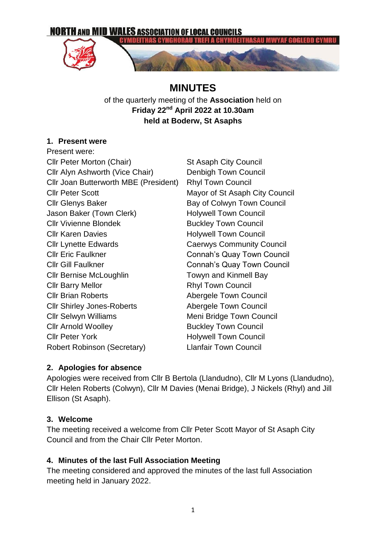

# **MINUTES**

of the quarterly meeting of the **Association** held on **Friday 22nd April 2022 at 10.30am held at Boderw, St Asaphs**

# **1. Present were**

Present were: Cllr Peter Morton (Chair) St Asaph City Council Cllr Alyn Ashworth (Vice Chair) Denbigh Town Council Cllr Joan Butterworth MBE (President) Rhyl Town Council Cllr Peter Scott Mayor of St Asaph City Council Cllr Glenys Baker Bay of Colwyn Town Council Jason Baker (Town Clerk) Holywell Town Council Cllr Vivienne Blondek Buckley Town Council Cllr Karen Davies **Holywell Town Council** Cllr Lynette Edwards Caerwys Community Council Cllr Eric Faulkner Connah's Quay Town Council Cllr Gill Faulkner Connah's Quay Town Council Cllr Bernise McLoughlin Towyn and Kinmell Bay Cllr Barry Mellor **Rhyl Town Council Cllr Brian Roberts Abergele Town Council** Cllr Shirley Jones-Roberts Abergele Town Council Cllr Selwyn Williams Meni Bridge Town Council **Clir Arnold Woolley Clir Arnold Woolley Clir Arnold Woolley** Cllr Peter York **Holywell Town Council** Robert Robinson (Secretary) Llanfair Town Council

## **2. Apologies for absence**

Apologies were received from Cllr B Bertola (Llandudno), Cllr M Lyons (Llandudno), Cllr Helen Roberts (Colwyn), Cllr M Davies (Menai Bridge), J Nickels (Rhyl) and Jill Ellison (St Asaph).

## **3. Welcome**

The meeting received a welcome from Cllr Peter Scott Mayor of St Asaph City Council and from the Chair Cllr Peter Morton.

# **4. Minutes of the last Full Association Meeting**

The meeting considered and approved the minutes of the last full Association meeting held in January 2022.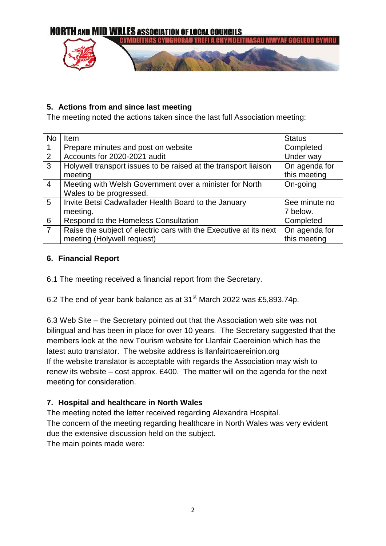

#### **5. Actions from and since last meeting**

The meeting noted the actions taken since the last full Association meeting:

| <b>No</b>       | Item                                                              | <b>Status</b> |
|-----------------|-------------------------------------------------------------------|---------------|
| $\mathbf{1}$    | Prepare minutes and post on website                               | Completed     |
| $\overline{2}$  | Accounts for 2020-2021 audit                                      | Under way     |
| $\overline{3}$  | Holywell transport issues to be raised at the transport liaison   | On agenda for |
|                 | meeting                                                           | this meeting  |
| $\overline{4}$  | Meeting with Welsh Government over a minister for North           | On-going      |
|                 | Wales to be progressed.                                           |               |
| $5\overline{)}$ | Invite Betsi Cadwallader Health Board to the January              | See minute no |
|                 | meeting.                                                          | 7 below.      |
| $6\phantom{1}6$ | Respond to the Homeless Consultation                              | Completed     |
| $\overline{7}$  | Raise the subject of electric cars with the Executive at its next | On agenda for |
|                 | meeting (Holywell request)                                        | this meeting  |

#### **6. Financial Report**

6.1 The meeting received a financial report from the Secretary.

6.2 The end of year bank balance as at  $31<sup>st</sup>$  March 2022 was £5,893.74p.

6.3 Web Site – the Secretary pointed out that the Association web site was not bilingual and has been in place for over 10 years. The Secretary suggested that the members look at the new Tourism website for Llanfair Caereinion which has the latest auto translator. The website address is llanfairtcaereinion.org If the website translator is acceptable with regards the Association may wish to renew its website – cost approx. £400. The matter will on the agenda for the next meeting for consideration.

## **7. Hospital and healthcare in North Wales**

The meeting noted the letter received regarding Alexandra Hospital. The concern of the meeting regarding healthcare in North Wales was very evident due the extensive discussion held on the subject. The main points made were: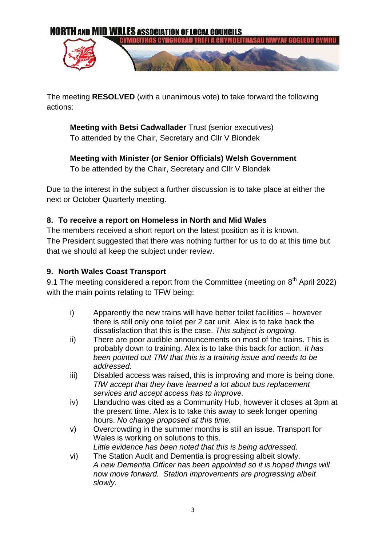

The meeting **RESOLVED** (with a unanimous vote) to take forward the following actions:

**Meeting with Betsi Cadwallader** Trust (senior executives) To attended by the Chair, Secretary and Cllr V Blondek

**Meeting with Minister (or Senior Officials) Welsh Government** To be attended by the Chair, Secretary and Cllr V Blondek

Due to the interest in the subject a further discussion is to take place at either the next or October Quarterly meeting.

#### **8. To receive a report on Homeless in North and Mid Wales**

The members received a short report on the latest position as it is known. The President suggested that there was nothing further for us to do at this time but that we should all keep the subject under review.

#### **9. North Wales Coast Transport**

9.1 The meeting considered a report from the Committee (meeting on  $8<sup>th</sup>$  April 2022) with the main points relating to TFW being:

- i) Apparently the new trains will have better toilet facilities however there is still only one toilet per 2 car unit. Alex is to take back the dissatisfaction that this is the case. *This subject is ongoing.*
- ii) There are poor audible announcements on most of the trains. This is probably down to training. Alex is to take this back for action. *It has been pointed out TfW that this is a training issue and needs to be addressed.*
- iii) Disabled access was raised, this is improving and more is being done. *TfW accept that they have learned a lot about bus replacement services and accept access has to improve.*
- iv) Llandudno was cited as a Community Hub, however it closes at 3pm at the present time. Alex is to take this away to seek longer opening hours. *No change proposed at this time.*
- v) Overcrowding in the summer months is still an issue. Transport for Wales is working on solutions to this. *Little evidence has been noted that this is being addressed.*
- vi) The Station Audit and Dementia is progressing albeit slowly. *A new Dementia Officer has been appointed so it is hoped things will now move forward. Station improvements are progressing albeit slowly.*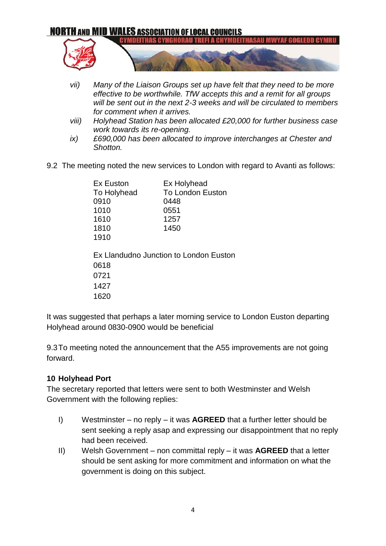# **NORTH AND MID WALES ASSOCIATION OF LOCAL COUNCILS YMDEITHAS CYNGH** CHYMDEITHASAU

- *vii) Many of the Liaison Groups set up have felt that they need to be more effective to be worthwhile. TfW accepts this and a remit for all groups will be sent out in the next 2-3 weeks and will be circulated to members for comment when it arrives.*
- *viii) Holyhead Station has been allocated £20,000 for further business case work towards its re-opening.*
- *ix) £690,000 has been allocated to improve interchanges at Chester and Shotton.*
- 9.2 The meeting noted the new services to London with regard to Avanti as follows:

| Ex Euston                              | Ex Holyhead             |  |  |  |
|----------------------------------------|-------------------------|--|--|--|
| To Holyhead                            | <b>To London Euston</b> |  |  |  |
| 0910                                   | 0448                    |  |  |  |
| 1010                                   | 0551                    |  |  |  |
| 1610                                   | 1257                    |  |  |  |
| 1810                                   | 1450                    |  |  |  |
| 1910                                   |                         |  |  |  |
|                                        |                         |  |  |  |
| Ex Llandudno Junction to London Euston |                         |  |  |  |
| 0618                                   |                         |  |  |  |
| 0721                                   |                         |  |  |  |
| 1427                                   |                         |  |  |  |
| 1620                                   |                         |  |  |  |

It was suggested that perhaps a later morning service to London Euston departing Holyhead around 0830-0900 would be beneficial

9.3To meeting noted the announcement that the A55 improvements are not going forward.

## **10 Holyhead Port**

The secretary reported that letters were sent to both Westminster and Welsh Government with the following replies:

- I) Westminster no reply it was **AGREED** that a further letter should be sent seeking a reply asap and expressing our disappointment that no reply had been received.
- II) Welsh Government non committal reply it was **AGREED** that a letter should be sent asking for more commitment and information on what the government is doing on this subject.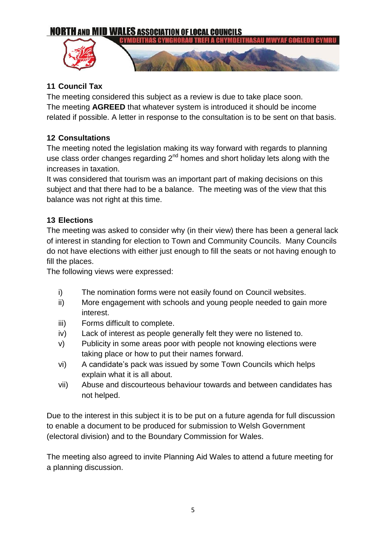# **NORTH AND MID WALES ASSOCIATION OF LOCAL COUNCILS**



# **11 Council Tax**

The meeting considered this subject as a review is due to take place soon. The meeting **AGREED** that whatever system is introduced it should be income related if possible. A letter in response to the consultation is to be sent on that basis.

# **12 Consultations**

The meeting noted the legislation making its way forward with regards to planning use class order changes regarding 2<sup>nd</sup> homes and short holiday lets along with the increases in taxation.

It was considered that tourism was an important part of making decisions on this subject and that there had to be a balance. The meeting was of the view that this balance was not right at this time.

# **13 Elections**

The meeting was asked to consider why (in their view) there has been a general lack of interest in standing for election to Town and Community Councils. Many Councils do not have elections with either just enough to fill the seats or not having enough to fill the places.

The following views were expressed:

- i) The nomination forms were not easily found on Council websites.
- ii) More engagement with schools and young people needed to gain more interest.
- iii) Forms difficult to complete.
- iv) Lack of interest as people generally felt they were no listened to.
- v) Publicity in some areas poor with people not knowing elections were taking place or how to put their names forward.
- vi) A candidate's pack was issued by some Town Councils which helps explain what it is all about.
- vii) Abuse and discourteous behaviour towards and between candidates has not helped.

Due to the interest in this subject it is to be put on a future agenda for full discussion to enable a document to be produced for submission to Welsh Government (electoral division) and to the Boundary Commission for Wales.

The meeting also agreed to invite Planning Aid Wales to attend a future meeting for a planning discussion.